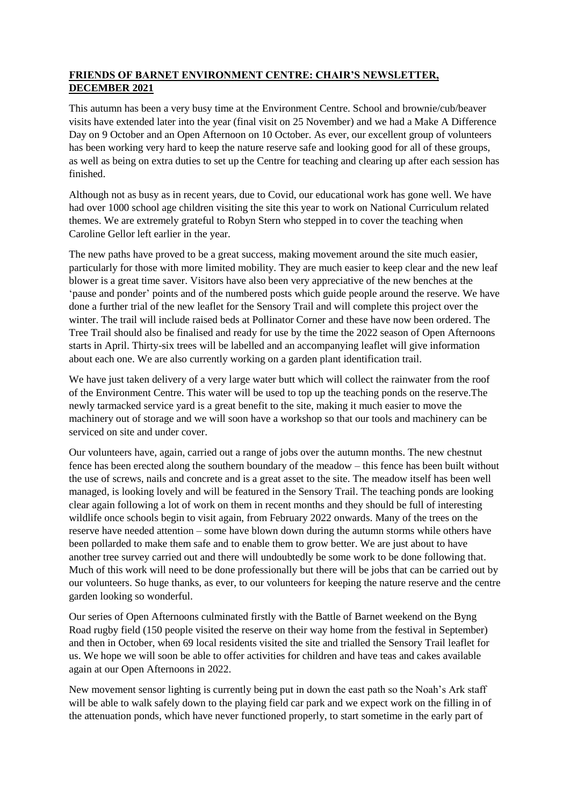## **FRIENDS OF BARNET ENVIRONMENT CENTRE: CHAIR'S NEWSLETTER, DECEMBER 2021**

This autumn has been a very busy time at the Environment Centre. School and brownie/cub/beaver visits have extended later into the year (final visit on 25 November) and we had a Make A Difference Day on 9 October and an Open Afternoon on 10 October. As ever, our excellent group of volunteers has been working very hard to keep the nature reserve safe and looking good for all of these groups, as well as being on extra duties to set up the Centre for teaching and clearing up after each session has finished.

Although not as busy as in recent years, due to Covid, our educational work has gone well. We have had over 1000 school age children visiting the site this year to work on National Curriculum related themes. We are extremely grateful to Robyn Stern who stepped in to cover the teaching when Caroline Gellor left earlier in the year.

The new paths have proved to be a great success, making movement around the site much easier, particularly for those with more limited mobility. They are much easier to keep clear and the new leaf blower is a great time saver. Visitors have also been very appreciative of the new benches at the 'pause and ponder' points and of the numbered posts which guide people around the reserve. We have done a further trial of the new leaflet for the Sensory Trail and will complete this project over the winter. The trail will include raised beds at Pollinator Corner and these have now been ordered. The Tree Trail should also be finalised and ready for use by the time the 2022 season of Open Afternoons starts in April. Thirty-six trees will be labelled and an accompanying leaflet will give information about each one. We are also currently working on a garden plant identification trail.

We have just taken delivery of a very large water butt which will collect the rainwater from the roof of the Environment Centre. This water will be used to top up the teaching ponds on the reserve.The newly tarmacked service yard is a great benefit to the site, making it much easier to move the machinery out of storage and we will soon have a workshop so that our tools and machinery can be serviced on site and under cover.

Our volunteers have, again, carried out a range of jobs over the autumn months. The new chestnut fence has been erected along the southern boundary of the meadow – this fence has been built without the use of screws, nails and concrete and is a great asset to the site. The meadow itself has been well managed, is looking lovely and will be featured in the Sensory Trail. The teaching ponds are looking clear again following a lot of work on them in recent months and they should be full of interesting wildlife once schools begin to visit again, from February 2022 onwards. Many of the trees on the reserve have needed attention – some have blown down during the autumn storms while others have been pollarded to make them safe and to enable them to grow better. We are just about to have another tree survey carried out and there will undoubtedly be some work to be done following that. Much of this work will need to be done professionally but there will be jobs that can be carried out by our volunteers. So huge thanks, as ever, to our volunteers for keeping the nature reserve and the centre garden looking so wonderful.

Our series of Open Afternoons culminated firstly with the Battle of Barnet weekend on the Byng Road rugby field (150 people visited the reserve on their way home from the festival in September) and then in October, when 69 local residents visited the site and trialled the Sensory Trail leaflet for us. We hope we will soon be able to offer activities for children and have teas and cakes available again at our Open Afternoons in 2022.

New movement sensor lighting is currently being put in down the east path so the Noah's Ark staff will be able to walk safely down to the playing field car park and we expect work on the filling in of the attenuation ponds, which have never functioned properly, to start sometime in the early part of